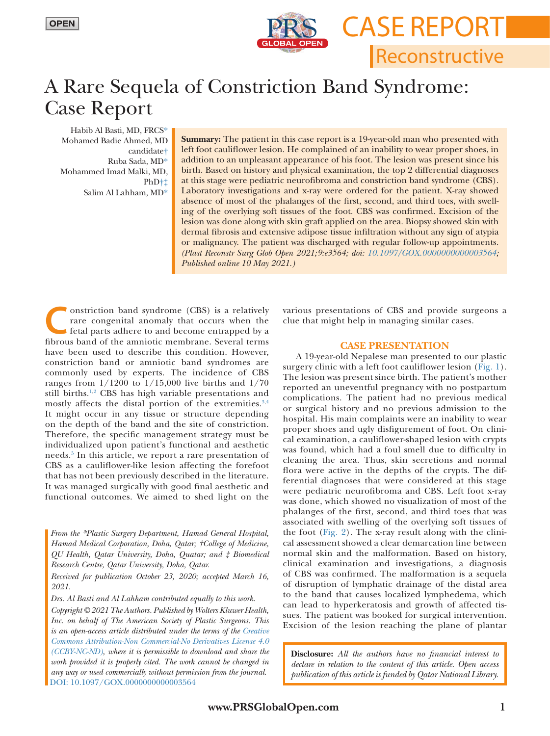

Reconstructive

**CASE REPORT** 

## A Rare Sequela of Constriction Band Syndrome: Case Report

Habib Al Basti, MD, FRC[S\\*](#page-0-0) Mohamed Badie Ahmed, MD candidat[e†](#page-0-1) Ruba Sada, M[D\\*](#page-0-0) Mohammed Imad Malki, MD, PhD[†‡](#page-0-1) Salim Al Lahham, M[D\\*](#page-0-0)

**Summary:** The patient in this case report is a 19-year-old man who presented with left foot cauliflower lesion. He complained of an inability to wear proper shoes, in addition to an unpleasant appearance of his foot. The lesion was present since his birth. Based on history and physical examination, the top 2 differential diagnoses at this stage were pediatric neurofibroma and constriction band syndrome (CBS). Laboratory investigations and x-ray were ordered for the patient. X-ray showed absence of most of the phalanges of the first, second, and third toes, with swelling of the overlying soft tissues of the foot. CBS was confirmed. Excision of the lesion was done along with skin graft applied on the area. Biopsy showed skin with dermal fibrosis and extensive adipose tissue infiltration without any sign of atypia or malignancy. The patient was discharged with regular follow-up appointments. *(Plast Reconstr Surg Glob Open 2021;9:e3564; doi: [10.1097/GOX.0000000000003564;](https://doi.org/10.1097/GOX.0000000000003564) Published online 10 May 2021.)*

**C**onstriction band syndrome (CBS) is a relatively rare congenital anomaly that occurs when the fetal parts adhere to and become entrapped by a fibrous band of the amniotic membrane Several terms rare congenital anomaly that occurs when the fibrous band of the amniotic membrane. Several terms have been used to describe this condition. However, constriction band or amniotic band syndromes are commonly used by experts. The incidence of CBS ranges from 1/1200 to 1/15,000 live births and 1/70 still births.<sup>[1](#page-2-0),[2](#page-2-1)</sup> CBS has high variable presentations and mostly affects the distal portion of the extremities.[3,](#page-2-2)[4](#page-2-3) It might occur in any tissue or structure depending on the depth of the band and the site of constriction. Therefore, the specific management strategy must be individualized upon patient's functional and aesthetic needs.<sup>[5](#page-2-4)</sup> In this article, we report a rare presentation of CBS as a cauliflower-like lesion affecting the forefoot that has not been previously described in the literature. It was managed surgically with good final aesthetic and functional outcomes. We aimed to shed light on the

<span id="page-0-1"></span><span id="page-0-0"></span>*From the \*Plastic Surgery Department, Hamad General Hospital, Hamad Medical Corporation, Doha, Qatar; †College of Medicine, QU Health, Qatar University, Doha, Quatar; and ‡ Biomedical Research Centre, Qatar University, Doha, Qatar.*

*Received for publication October 23, 2020; accepted March 16, 2021.*

*Drs. Al Basti and Al Lahham contributed equally to this work.*

*Copyright © 2021 The Authors. Published by Wolters Kluwer Health, Inc. on behalf of The American Society of Plastic Surgeons. This is an open-access article distributed under the terms of the [Creative](http://creativecommons.org/licenses/by-nc-nd/4.0/)  [Commons Attribution-Non Commercial-No Derivatives License 4.0](http://creativecommons.org/licenses/by-nc-nd/4.0/)  [\(CCBY-NC-ND\)](http://creativecommons.org/licenses/by-nc-nd/4.0/), where it is permissible to download and share the work provided it is properly cited. The work cannot be changed in any way or used commercially without permission from the journal.* DOI: [10.1097/GOX.0000000000003564](https://doi.org/10.1097/GOX.0000000000003564)

various presentations of CBS and provide surgeons a clue that might help in managing similar cases.

## **CASE PRESENTATION**

A 19-year-old Nepalese man presented to our plastic surgery clinic with a left foot cauliflower lesion ([Fig. 1](#page-1-0)). The lesion was present since birth. The patient's mother reported an uneventful pregnancy with no postpartum complications. The patient had no previous medical or surgical history and no previous admission to the hospital. His main complaints were an inability to wear proper shoes and ugly disfigurement of foot. On clinical examination, a cauliflower-shaped lesion with crypts was found, which had a foul smell due to difficulty in cleaning the area. Thus, skin secretions and normal flora were active in the depths of the crypts. The differential diagnoses that were considered at this stage were pediatric neurofibroma and CBS. Left foot x-ray was done, which showed no visualization of most of the phalanges of the first, second, and third toes that was associated with swelling of the overlying soft tissues of the foot ([Fig. 2](#page-1-1)). The x-ray result along with the clinical assessment showed a clear demarcation line between normal skin and the malformation. Based on history, clinical examination and investigations, a diagnosis of CBS was confirmed. The malformation is a sequela of disruption of lymphatic drainage of the distal area to the band that causes localized lymphedema, which can lead to hyperkeratosis and growth of affected tissues. The patient was booked for surgical intervention. Excision of the lesion reaching the plane of plantar

**Disclosure:** *All the authors have no financial interest to declare in relation to the content of this article. Open access publication of this article is funded by Qatar National Library.*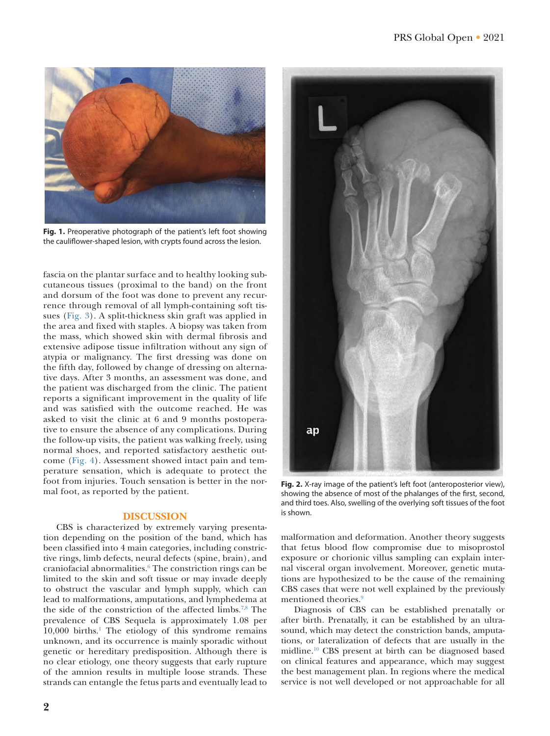

**Fig. 1.** Preoperative photograph of the patient's left foot showing the cauliflower-shaped lesion, with crypts found across the lesion.

<span id="page-1-0"></span>fascia on the plantar surface and to healthy looking subcutaneous tissues (proximal to the band) on the front and dorsum of the foot was done to prevent any recurrence through removal of all lymph-containing soft tissues [\(Fig. 3](#page-2-5)). A split-thickness skin graft was applied in the area and fixed with staples. A biopsy was taken from the mass, which showed skin with dermal fibrosis and extensive adipose tissue infiltration without any sign of atypia or malignancy. The first dressing was done on the fifth day, followed by change of dressing on alternative days. After 3 months, an assessment was done, and the patient was discharged from the clinic. The patient reports a significant improvement in the quality of life and was satisfied with the outcome reached. He was asked to visit the clinic at 6 and 9 months postoperative to ensure the absence of any complications. During the follow-up visits, the patient was walking freely, using normal shoes, and reported satisfactory aesthetic outcome ([Fig. 4\)](#page-2-6). Assessment showed intact pain and temperature sensation, which is adequate to protect the foot from injuries. Touch sensation is better in the normal foot, as reported by the patient.

## **DISCUSSION**

CBS is characterized by extremely varying presentation depending on the position of the band, which has been classified into 4 main categories, including constrictive rings, limb defects, neural defects (spine, brain), and craniofacial abnormalities.<sup>[6](#page-2-7)</sup> The constriction rings can be limited to the skin and soft tissue or may invade deeply to obstruct the vascular and lymph supply, which can lead to malformations, amputations, and lymphedema at the side of the constriction of the affected limbs[.7](#page-2-8),[8](#page-2-9) The prevalence of CBS Sequela is approximately 1.08 per 10,000 births.[1](#page-2-0) The etiology of this syndrome remains unknown, and its occurrence is mainly sporadic without genetic or hereditary predisposition. Although there is no clear etiology, one theory suggests that early rupture of the amnion results in multiple loose strands. These strands can entangle the fetus parts and eventually lead to



**Fig. 2.** X-ray image of the patient's left foot (anteroposterior view), showing the absence of most of the phalanges of the first, second, and third toes. Also, swelling of the overlying soft tissues of the foot is shown.

<span id="page-1-1"></span>malformation and deformation. Another theory suggests that fetus blood flow compromise due to misoprostol exposure or chorionic villus sampling can explain internal visceral organ involvement. Moreover, genetic mutations are hypothesized to be the cause of the remaining CBS cases that were not well explained by the previously mentioned theories.<sup>[9](#page-2-10)</sup>

Diagnosis of CBS can be established prenatally or after birth. Prenatally, it can be established by an ultrasound, which may detect the constriction bands, amputations, or lateralization of defects that are usually in the midline.[10](#page-2-11) CBS present at birth can be diagnosed based on clinical features and appearance, which may suggest the best management plan. In regions where the medical service is not well developed or not approachable for all